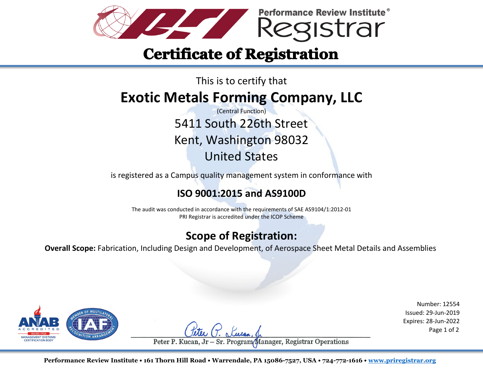

# **Certificate of Registration**

### This is to certify that **Exotic Metals Forming Company, LLC**

(Central Function) 5411 South 226th Street Kent, Washington 98032 United States

is registered as a Campus quality management system in conformance with

### **ISO 9001:2015 and AS9100D**

The audit was conducted in accordance with the requirements of SAE AS9104/1:2012-01 PRI Registrar is accredited under the ICOP Scheme

### **Scope of Registration:**

**Overall Scope:** Fabrication, Including Design and Development, of Aerospace Sheet Metal Details and Assemblies



Number: 12554 Issued: 29-Jun-2019 Expires: 28-Jun-2022

Sr. Program/Manager, Registrar Operations Peter P. Kucan